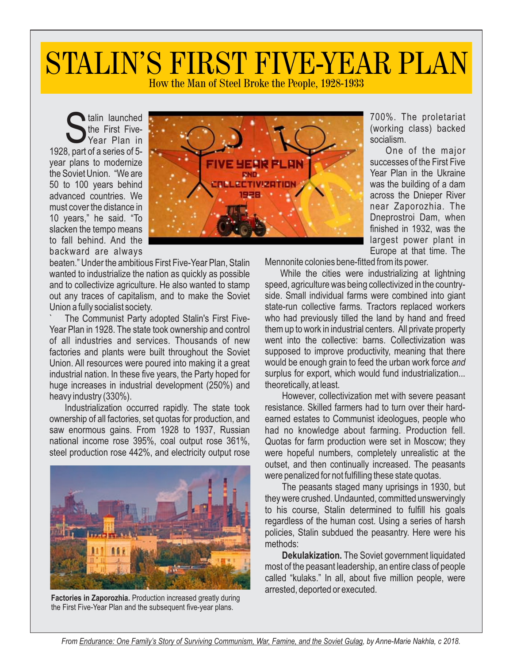## STALIN'S FIRST FIVE-YEAR PLAN

How the Man of Steel Broke the People, 1928-1933

Stalin launched<br>
The First Five-<br>
Tear Plan in<br>
1928, part of a series of 5talin launched the First Five-Year Plan in year plans to modernize the Soviet Union. "We are 50 to 100 years behind advanced countries. We must cover the distance in 10 years," he said. "To slacken the tempo means to fall behind. And the backward are always

beaten." Under the ambitious First Five-Year Plan, Stalin wanted to industrialize the nation as quickly as possible and to collectivize agriculture. He also wanted to stamp out any traces of capitalism, and to make the Soviet Union a fully socialist society.

The Communist Party adopted Stalin's First Five-Year Plan in 1928. The state took ownership and control of all industries and services. Thousands of new factories and plants were built throughout the Soviet Union. All resources were poured into making it a great industrial nation. In these five years, the Party hoped for huge increases in industrial development (250%) and heavy industry (330%).

Industrialization occurred rapidly. The state took ownership of all factories, set quotas for production, and saw enormous gains. From 1928 to 1937, Russian national income rose 395%, coal output rose 361%, steel production rose 442%, and electricity output rose



**Factories in Zaporozhia.** Production increased greatly during the First Five-Year Plan and the subsequent five-year plans.



700%. The proletariat (working class) backed socialism.

One of the major successes of the First Five Year Plan in the Ukraine was the building of a dam across the Dnieper River near Zaporozhia. The Dneprostroi Dam, when finished in 1932, was the largest power plant in Europe at that time. The

Mennonite colonies bene-fitted from its power.

While the cities were industrializing at lightning speed, agriculture was being collectivized in the countryside. Small individual farms were combined into giant state-run collective farms*.* Tractors replaced workers who had previously tilled the land by hand and freed them up to work in industrial centers. All private property went into the collective: barns. Collectivization was supposed to improve productivity, meaning that there would be enough grain to feed the urban work force *and*  surplus for export, which would fund industrialization... theoretically, at least.

However, collectivization met with severe peasant resistance. Skilled farmers had to turn over their hardearned estates to Communist ideologues, people who had no knowledge about farming. Production fell. Quotas for farm production were set in Moscow; they were hopeful numbers, completely unrealistic at the outset, and then continually increased. The peasants were penalized for not fulfilling these state quotas.

The peasants staged many uprisings in 1930, but they were crushed. Undaunted, committed unswervingly to his course, Stalin determined to fulfill his goals regardless of the human cost. Using a series of harsh policies, Stalin subdued the peasantry. Here were his methods:

**Dekulakization.** The Soviet government liquidated most of the peasant leadership, an entire class of people called "kulaks." In all, about five million people, were arrested, deported or executed.